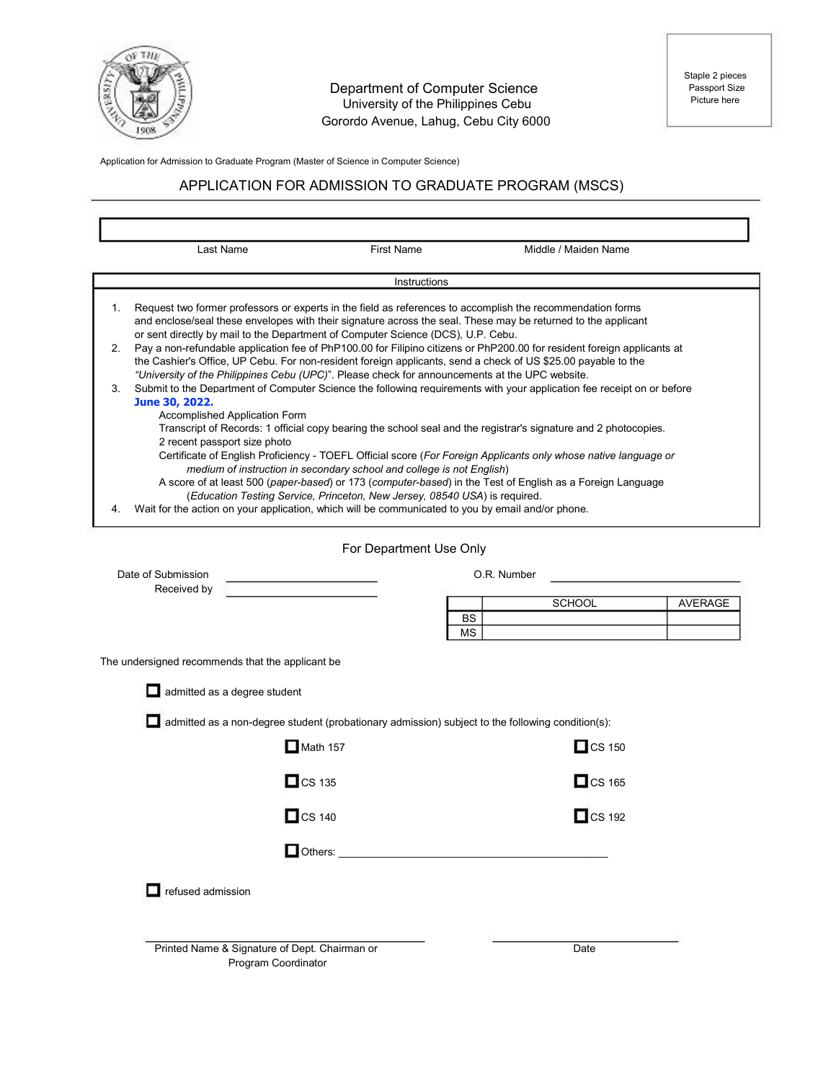

#### Department of Computer Science University of the Philippines Cebu Gorordo Avenue, Lahug, Cebu City 6000

Application for Admission to Graduate Program (Master of Science in Computer Science)

# APPLICATION FOR ADMISSION TO GRADUATE PROGRAM (MSCS)

| Last Name                                                                                               | <b>First Name</b>                                                                                                                                                                                                                                                                                                                                                                                                                              |                 | Middle / Maiden Name                                                                                                                                                                                                                                                                                                                                                                                                                                                                                                                                                                                                                                                                                                                                                                                                                                                                                                                                  |                |
|---------------------------------------------------------------------------------------------------------|------------------------------------------------------------------------------------------------------------------------------------------------------------------------------------------------------------------------------------------------------------------------------------------------------------------------------------------------------------------------------------------------------------------------------------------------|-----------------|-------------------------------------------------------------------------------------------------------------------------------------------------------------------------------------------------------------------------------------------------------------------------------------------------------------------------------------------------------------------------------------------------------------------------------------------------------------------------------------------------------------------------------------------------------------------------------------------------------------------------------------------------------------------------------------------------------------------------------------------------------------------------------------------------------------------------------------------------------------------------------------------------------------------------------------------------------|----------------|
|                                                                                                         |                                                                                                                                                                                                                                                                                                                                                                                                                                                | Instructions    |                                                                                                                                                                                                                                                                                                                                                                                                                                                                                                                                                                                                                                                                                                                                                                                                                                                                                                                                                       |                |
| 1.<br>2.<br>3.<br>June 30, 2022.<br>Accomplished Application Form<br>2 recent passport size photo<br>4. | or sent directly by mail to the Department of Computer Science (DCS), U.P. Cebu.<br>"University of the Philippines Cebu (UPC)". Please check for announcements at the UPC website.<br>medium of instruction in secondary school and college is not English)<br>(Education Testing Service, Princeton, New Jersey, 08540 USA) is required.<br>Wait for the action on your application, which will be communicated to you by email and/or phone. |                 | Request two former professors or experts in the field as references to accomplish the recommendation forms<br>and enclose/seal these envelopes with their signature across the seal. These may be returned to the applicant<br>Pay a non-refundable application fee of PhP100.00 for Filipino citizens or PhP200.00 for resident foreign applicants at<br>the Cashier's Office, UP Cebu. For non-resident foreign applicants, send a check of US \$25.00 payable to the<br>Submit to the Department of Computer Science the following requirements with your application fee receipt on or before<br>Transcript of Records: 1 official copy bearing the school seal and the registrar's signature and 2 photocopies.<br>Certificate of English Proficiency - TOEFL Official score (For Foreign Applicants only whose native language or<br>A score of at least 500 (paper-based) or 173 (computer-based) in the Test of English as a Foreign Language |                |
|                                                                                                         |                                                                                                                                                                                                                                                                                                                                                                                                                                                |                 |                                                                                                                                                                                                                                                                                                                                                                                                                                                                                                                                                                                                                                                                                                                                                                                                                                                                                                                                                       |                |
|                                                                                                         | For Department Use Only                                                                                                                                                                                                                                                                                                                                                                                                                        |                 |                                                                                                                                                                                                                                                                                                                                                                                                                                                                                                                                                                                                                                                                                                                                                                                                                                                                                                                                                       |                |
| Date of Submission<br>Received by                                                                       |                                                                                                                                                                                                                                                                                                                                                                                                                                                |                 | O.R. Number                                                                                                                                                                                                                                                                                                                                                                                                                                                                                                                                                                                                                                                                                                                                                                                                                                                                                                                                           |                |
|                                                                                                         |                                                                                                                                                                                                                                                                                                                                                                                                                                                |                 | <b>SCHOOL</b>                                                                                                                                                                                                                                                                                                                                                                                                                                                                                                                                                                                                                                                                                                                                                                                                                                                                                                                                         | <b>AVERAGE</b> |
|                                                                                                         |                                                                                                                                                                                                                                                                                                                                                                                                                                                | <b>BS</b><br>MS |                                                                                                                                                                                                                                                                                                                                                                                                                                                                                                                                                                                                                                                                                                                                                                                                                                                                                                                                                       |                |
| The undersigned recommends that the applicant be.                                                       |                                                                                                                                                                                                                                                                                                                                                                                                                                                |                 |                                                                                                                                                                                                                                                                                                                                                                                                                                                                                                                                                                                                                                                                                                                                                                                                                                                                                                                                                       |                |
| admitted as a degree student                                                                            |                                                                                                                                                                                                                                                                                                                                                                                                                                                |                 |                                                                                                                                                                                                                                                                                                                                                                                                                                                                                                                                                                                                                                                                                                                                                                                                                                                                                                                                                       |                |
|                                                                                                         | admitted as a non-degree student (probationary admission) subject to the following condition(s):                                                                                                                                                                                                                                                                                                                                               |                 |                                                                                                                                                                                                                                                                                                                                                                                                                                                                                                                                                                                                                                                                                                                                                                                                                                                                                                                                                       |                |
|                                                                                                         | $\Box$ Math 157                                                                                                                                                                                                                                                                                                                                                                                                                                |                 | $\Box$ CS 150                                                                                                                                                                                                                                                                                                                                                                                                                                                                                                                                                                                                                                                                                                                                                                                                                                                                                                                                         |                |
|                                                                                                         | $\Box$ CS 135                                                                                                                                                                                                                                                                                                                                                                                                                                  |                 | $\Box$ CS 165                                                                                                                                                                                                                                                                                                                                                                                                                                                                                                                                                                                                                                                                                                                                                                                                                                                                                                                                         |                |
|                                                                                                         | $\Box$ CS 140                                                                                                                                                                                                                                                                                                                                                                                                                                  |                 | $\Box$ CS 192                                                                                                                                                                                                                                                                                                                                                                                                                                                                                                                                                                                                                                                                                                                                                                                                                                                                                                                                         |                |
|                                                                                                         | Others:                                                                                                                                                                                                                                                                                                                                                                                                                                        |                 |                                                                                                                                                                                                                                                                                                                                                                                                                                                                                                                                                                                                                                                                                                                                                                                                                                                                                                                                                       |                |
| refused admission                                                                                       |                                                                                                                                                                                                                                                                                                                                                                                                                                                |                 |                                                                                                                                                                                                                                                                                                                                                                                                                                                                                                                                                                                                                                                                                                                                                                                                                                                                                                                                                       |                |
|                                                                                                         | Printed Name & Signature of Dept. Chairman or<br>Program Coordinator                                                                                                                                                                                                                                                                                                                                                                           |                 | Date                                                                                                                                                                                                                                                                                                                                                                                                                                                                                                                                                                                                                                                                                                                                                                                                                                                                                                                                                  |                |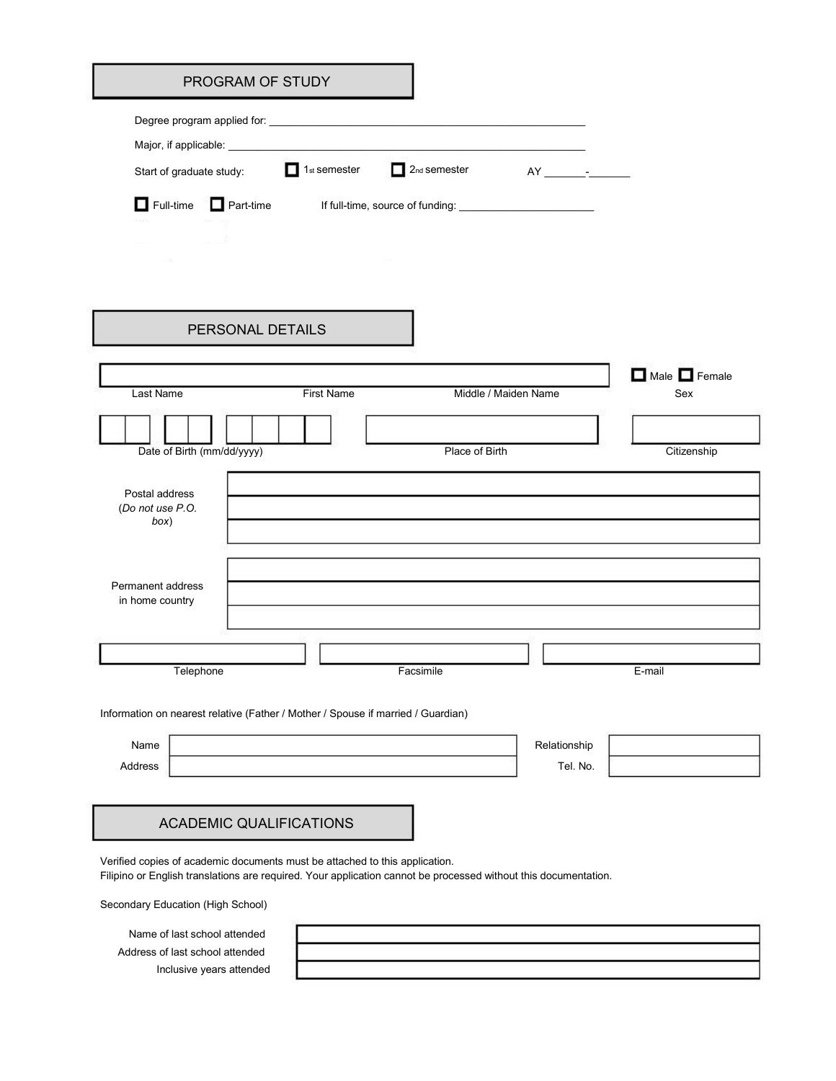|                                                                                                                                                                                                | PROGRAM OF STUDY               |                          |                          |                      |              |             |
|------------------------------------------------------------------------------------------------------------------------------------------------------------------------------------------------|--------------------------------|--------------------------|--------------------------|----------------------|--------------|-------------|
|                                                                                                                                                                                                |                                |                          |                          |                      |              |             |
|                                                                                                                                                                                                |                                |                          |                          |                      |              |             |
| Start of graduate study:                                                                                                                                                                       |                                | 1 <sub>st</sub> semester | 2 <sub>nd</sub> semester |                      |              |             |
| Full-time <b>Part-time</b>                                                                                                                                                                     |                                |                          |                          |                      |              |             |
|                                                                                                                                                                                                |                                |                          |                          |                      |              |             |
| $-1/2$                                                                                                                                                                                         |                                |                          |                          |                      |              |             |
|                                                                                                                                                                                                |                                |                          |                          |                      |              |             |
|                                                                                                                                                                                                | PERSONAL DETAILS               |                          |                          |                      |              |             |
|                                                                                                                                                                                                |                                |                          |                          |                      |              |             |
|                                                                                                                                                                                                |                                |                          |                          |                      |              | Male Female |
| Last Name                                                                                                                                                                                      |                                | <b>First Name</b>        |                          | Middle / Maiden Name |              | Sex         |
|                                                                                                                                                                                                |                                |                          |                          |                      |              |             |
| Date of Birth (mm/dd/yyyy)                                                                                                                                                                     |                                |                          | Place of Birth           |                      |              | Citizenship |
| (Do not use P.O.<br>box)<br>Permanent address<br>in home country                                                                                                                               |                                |                          |                          |                      |              |             |
|                                                                                                                                                                                                |                                |                          |                          |                      |              |             |
|                                                                                                                                                                                                |                                |                          |                          |                      |              |             |
| Telephone                                                                                                                                                                                      |                                |                          | Facsimile                |                      |              | E-mail      |
| Information on nearest relative (Father / Mother / Spouse if married / Guardian)                                                                                                               |                                |                          |                          |                      |              |             |
| Name                                                                                                                                                                                           |                                |                          |                          |                      | Relationship |             |
| Address                                                                                                                                                                                        |                                |                          |                          |                      | Tel. No.     |             |
|                                                                                                                                                                                                |                                |                          |                          |                      |              |             |
|                                                                                                                                                                                                |                                |                          |                          |                      |              |             |
|                                                                                                                                                                                                | <b>ACADEMIC QUALIFICATIONS</b> |                          |                          |                      |              |             |
| Verified copies of academic documents must be attached to this application.<br>Filipino or English translations are required. Your application cannot be processed without this documentation. |                                |                          |                          |                      |              |             |
| Secondary Education (High School)                                                                                                                                                              |                                |                          |                          |                      |              |             |
| Name of last school attended                                                                                                                                                                   |                                |                          |                          |                      |              |             |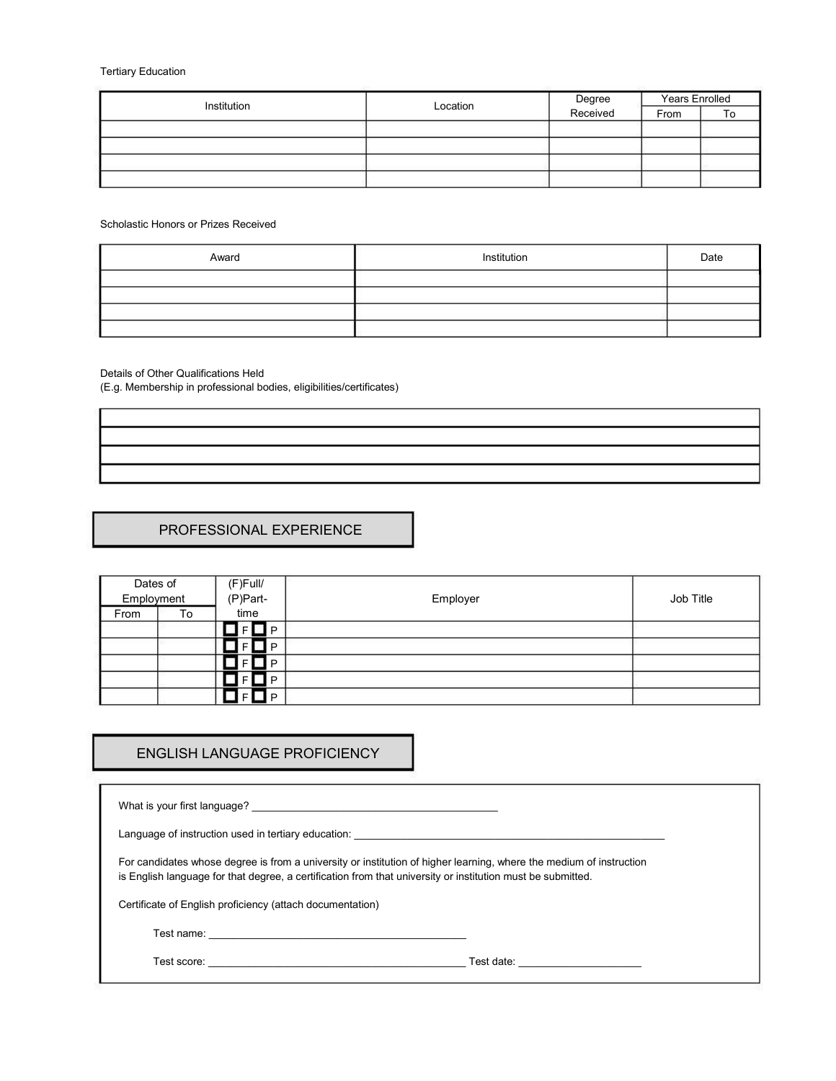Tertiary Education

| Institution | Location | Degree<br>Received | <b>Years Enrolled</b> |    |
|-------------|----------|--------------------|-----------------------|----|
|             |          |                    | From                  | To |
|             |          |                    |                       |    |
|             |          |                    |                       |    |
|             |          |                    |                       |    |
|             |          |                    |                       |    |

Scholastic Honors or Prizes Received

| Award | Institution | Date |
|-------|-------------|------|
|       |             |      |
|       |             |      |
|       |             |      |
|       |             |      |

Details of Other Qualifications Held

(E.g. Membership in professional bodies, eligibilities/certificates)

### PROFESSIONAL EXPERIENCE

| Dates of   |    | (F)Full/    |          |           |
|------------|----|-------------|----------|-----------|
| Employment |    | (P)Part-    | Employer | Job Title |
| From       | To | time        |          |           |
|            |    | $\bullet$ D |          |           |
|            |    | D           |          |           |
|            |    | D           |          |           |
|            |    | D           |          |           |
|            |    | D           |          |           |

# ENGLISH LANGUAGE PROFICIENCY

| What is your first language?                                                                                                                                                                                                                  |  |  |  |  |
|-----------------------------------------------------------------------------------------------------------------------------------------------------------------------------------------------------------------------------------------------|--|--|--|--|
| Language of instruction used in tertiary education:                                                                                                                                                                                           |  |  |  |  |
| For candidates whose degree is from a university or institution of higher learning, where the medium of instruction<br>is English language for that degree, a certification from that university or institution must be submitted.            |  |  |  |  |
| Certificate of English proficiency (attach documentation)                                                                                                                                                                                     |  |  |  |  |
|                                                                                                                                                                                                                                               |  |  |  |  |
| Test score:<br>Test date: The contract of the contract of the contract of the contract of the contract of the contract of the contract of the contract of the contract of the contract of the contract of the contract of the contract of the |  |  |  |  |